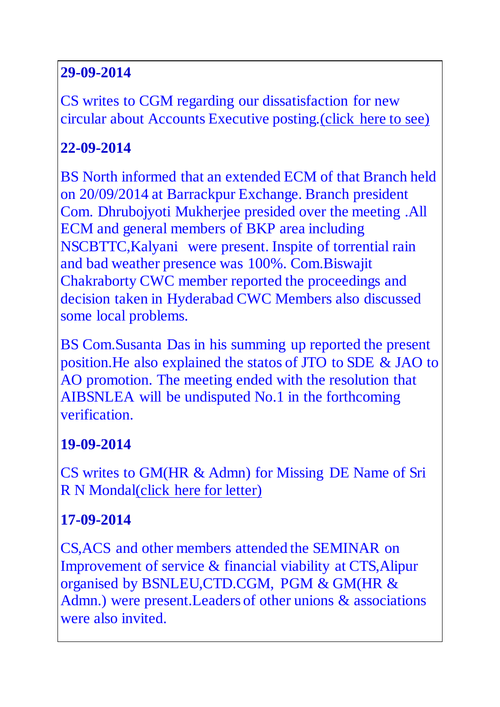### **29-09-2014**

CS writes to CGM regarding our dissatisfaction for new circular about Accounts Executive posting[.\(click here to see\)](http://aibsnleawb.org/AO_TRF_2014.pdf)

# **22-09-2014**

BS North informed that an extended ECM of that Branch held on 20/09/2014 at Barrackpur Exchange. Branch president Com. Dhrubojyoti Mukherjee presided over the meeting .All ECM and general members of BKP area including NSCBTTC,Kalyani were present. Inspite of torrential rain and bad weather presence was 100%. Com.Biswajit Chakraborty CWC member reported the proceedings and decision taken in Hyderabad CWC Members also discussed some local problems.

BS Com.Susanta Das in his summing up reported the present position.He also explained the statos of JTO to SDE & JAO to AO promotion. The meeting ended with the resolution that AIBSNLEA will be undisputed No.1 in the forthcoming verification.

# **19-09-2014**

CS writes to GM(HR & Admn) for Missing DE Name of Sri R N Monda[l\(click here for letter\)](http://aibsnleawb.org/RNM_Letter.pdf)

# **17-09-2014**

CS,ACS and other members attended the SEMINAR on Improvement of service & financial viability at CTS,Alipur organised by BSNLEU,CTD.CGM, PGM & GM(HR & Admn.) were present. Leaders of other unions & associations were also invited.